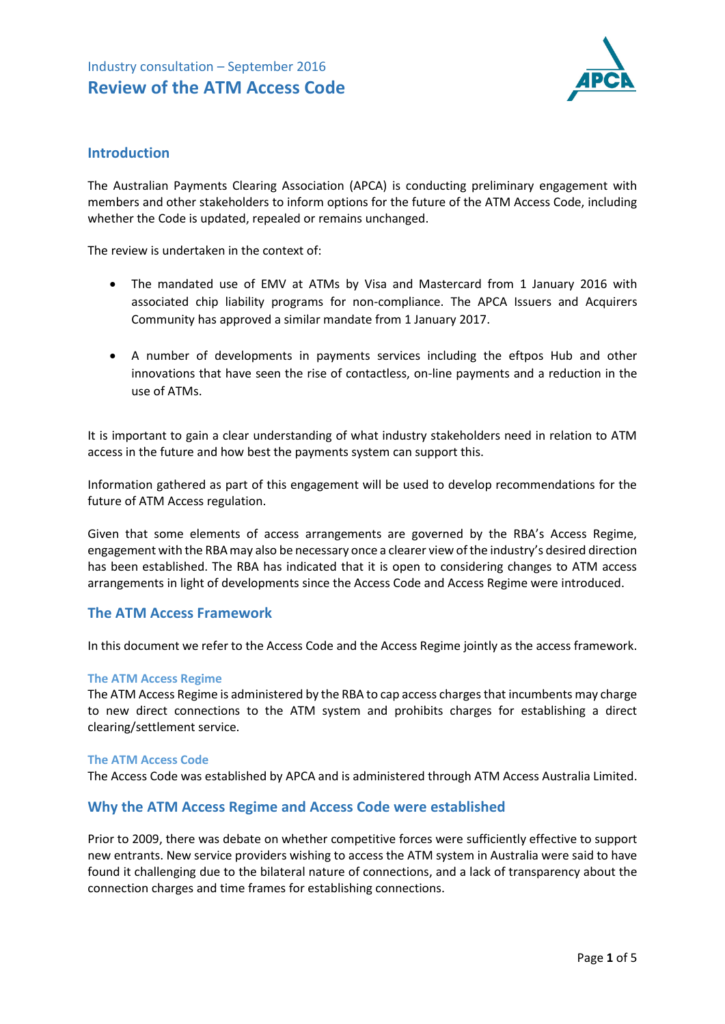

## **Introduction**

The Australian Payments Clearing Association (APCA) is conducting preliminary engagement with members and other stakeholders to inform options for the future of the ATM Access Code, including whether the Code is updated, repealed or remains unchanged.

The review is undertaken in the context of:

- The mandated use of EMV at ATMs by Visa and Mastercard from 1 January 2016 with associated chip liability programs for non-compliance. The APCA Issuers and Acquirers Community has approved a similar mandate from 1 January 2017.
- A number of developments in payments services including the eftpos Hub and other innovations that have seen the rise of contactless, on-line payments and a reduction in the use of ATMs.

It is important to gain a clear understanding of what industry stakeholders need in relation to ATM access in the future and how best the payments system can support this.

Information gathered as part of this engagement will be used to develop recommendations for the future of ATM Access regulation.

Given that some elements of access arrangements are governed by the RBA's Access Regime, engagement with the RBA may also be necessary once a clearer view of the industry's desired direction has been established. The RBA has indicated that it is open to considering changes to ATM access arrangements in light of developments since the Access Code and Access Regime were introduced.

## **The ATM Access Framework**

In this document we refer to the Access Code and the Access Regime jointly as the access framework.

#### **The ATM Access Regime**

The ATM Access Regime is administered by the RBA to cap access charges that incumbents may charge to new direct connections to the ATM system and prohibits charges for establishing a direct clearing/settlement service.

#### **The ATM Access Code**

The Access Code was established by APCA and is administered through ATM Access Australia Limited.

#### **Why the ATM Access Regime and Access Code were established**

Prior to 2009, there was debate on whether competitive forces were sufficiently effective to support new entrants. New service providers wishing to access the ATM system in Australia were said to have found it challenging due to the bilateral nature of connections, and a lack of transparency about the connection charges and time frames for establishing connections.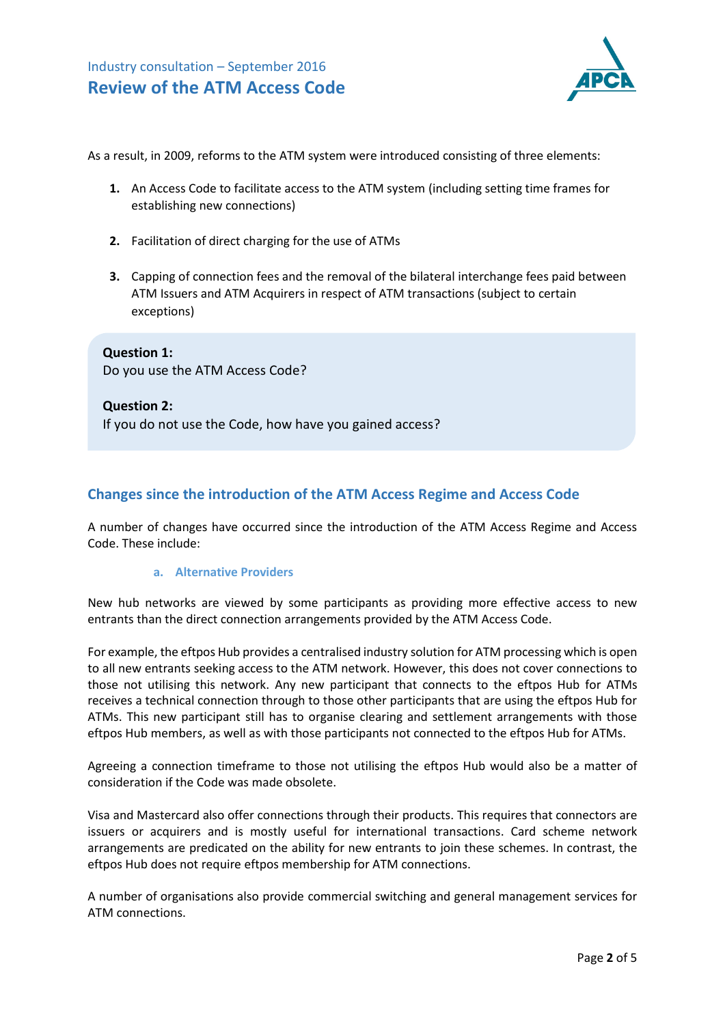

As a result, in 2009, reforms to the ATM system were introduced consisting of three elements:

- **1.** An Access Code to facilitate access to the ATM system (including setting time frames for establishing new connections)
- **2.** Facilitation of direct charging for the use of ATMs
- **3.** Capping of connection fees and the removal of the bilateral interchange fees paid between ATM Issuers and ATM Acquirers in respect of ATM transactions (subject to certain exceptions)

**Question 1:**  Do you use the ATM Access Code?

**Question 2:** If you do not use the Code, how have you gained access?

## **Changes since the introduction of the ATM Access Regime and Access Code**

A number of changes have occurred since the introduction of the ATM Access Regime and Access Code. These include:

#### **a. Alternative Providers**

New hub networks are viewed by some participants as providing more effective access to new entrants than the direct connection arrangements provided by the ATM Access Code.

For example, the eftpos Hub provides a centralised industry solution for ATM processing which is open to all new entrants seeking access to the ATM network. However, this does not cover connections to those not utilising this network. Any new participant that connects to the eftpos Hub for ATMs receives a technical connection through to those other participants that are using the eftpos Hub for ATMs. This new participant still has to organise clearing and settlement arrangements with those eftpos Hub members, as well as with those participants not connected to the eftpos Hub for ATMs.

Agreeing a connection timeframe to those not utilising the eftpos Hub would also be a matter of consideration if the Code was made obsolete.

Visa and Mastercard also offer connections through their products. This requires that connectors are issuers or acquirers and is mostly useful for international transactions. Card scheme network arrangements are predicated on the ability for new entrants to join these schemes. In contrast, the eftpos Hub does not require eftpos membership for ATM connections.

A number of organisations also provide commercial switching and general management services for ATM connections.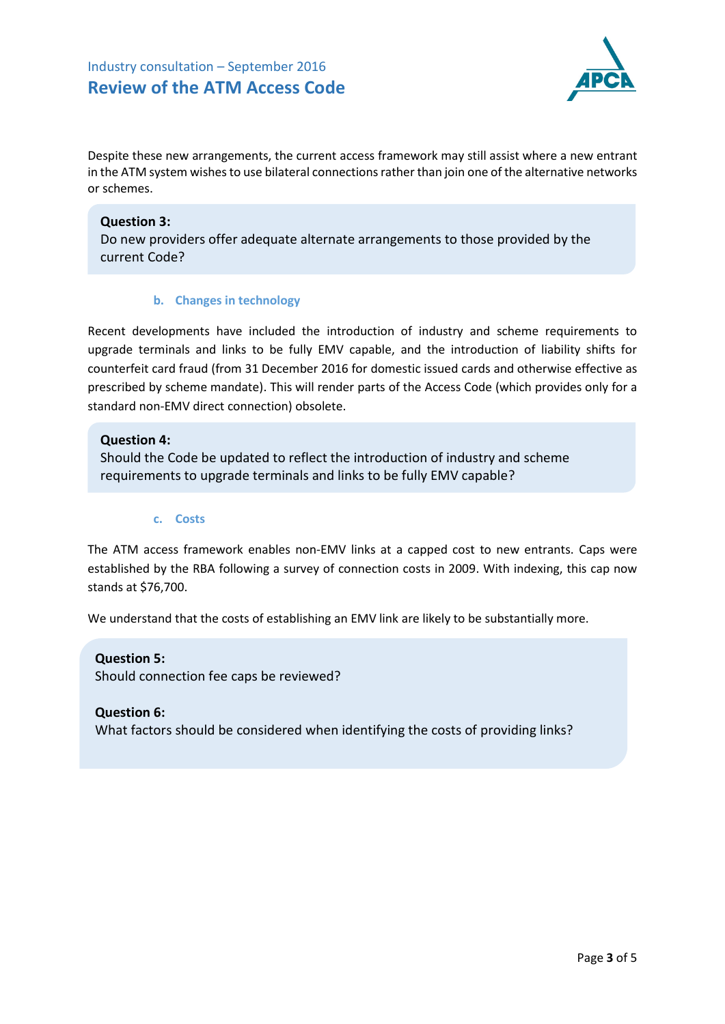# Industry consultation – September 2016 **Review of the ATM Access Code**



Despite these new arrangements, the current access framework may still assist where a new entrant in the ATM system wishes to use bilateral connections rather than join one of the alternative networks or schemes.

### **Question 3:**

Do new providers offer adequate alternate arrangements to those provided by the current Code?

### **b. Changes in technology**

Recent developments have included the introduction of industry and scheme requirements to upgrade terminals and links to be fully EMV capable, and the introduction of liability shifts for counterfeit card fraud (from 31 December 2016 for domestic issued cards and otherwise effective as prescribed by scheme mandate). This will render parts of the Access Code (which provides only for a standard non-EMV direct connection) obsolete.

### **Question 4:**

Should the Code be updated to reflect the introduction of industry and scheme requirements to upgrade terminals and links to be fully EMV capable?

#### **c. Costs**

The ATM access framework enables non-EMV links at a capped cost to new entrants. Caps were established by the RBA following a survey of connection costs in 2009. With indexing, this cap now stands at \$76,700.

We understand that the costs of establishing an EMV link are likely to be substantially more.

**Question 5:**  Should connection fee caps be reviewed?

#### **Question 6:**

What factors should be considered when identifying the costs of providing links?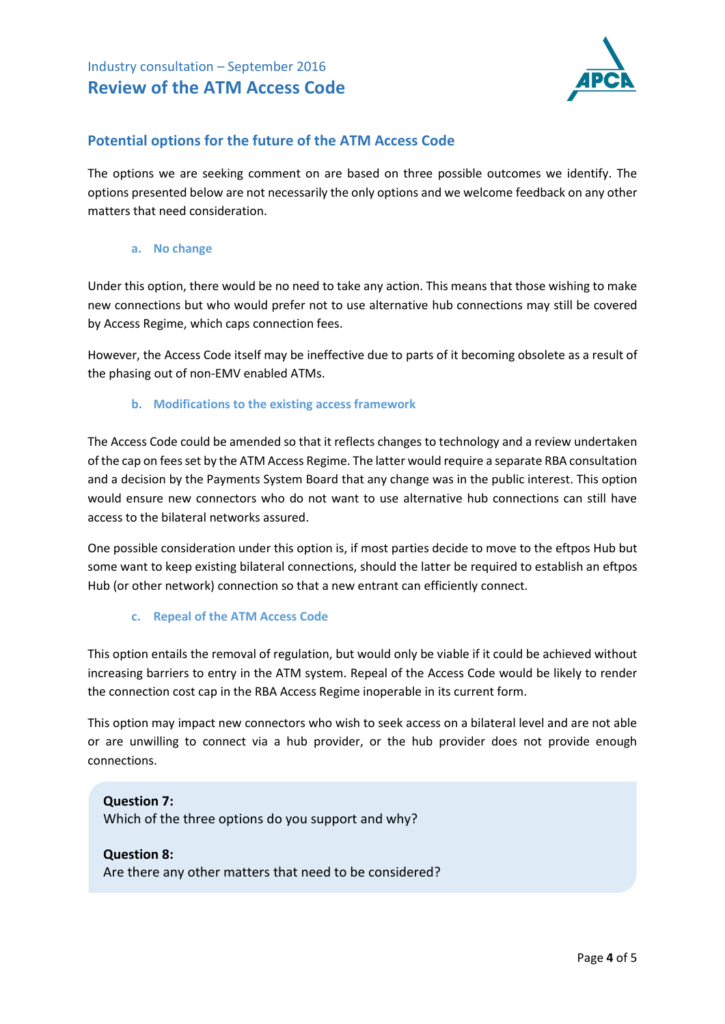

## **Potential options for the future of the ATM Access Code**

The options we are seeking comment on are based on three possible outcomes we identify. The options presented below are not necessarily the only options and we welcome feedback on any other matters that need consideration.

**a. No change**

Under this option, there would be no need to take any action. This means that those wishing to make new connections but who would prefer not to use alternative hub connections may still be covered by Access Regime, which caps connection fees.

However, the Access Code itself may be ineffective due to parts of it becoming obsolete as a result of the phasing out of non-EMV enabled ATMs.

### **b. Modifications to the existing access framework**

The Access Code could be amended so that it reflects changes to technology and a review undertaken of the cap on fees set by the ATM Access Regime. The latter would require a separate RBA consultation and a decision by the Payments System Board that any change was in the public interest. This option would ensure new connectors who do not want to use alternative hub connections can still have access to the bilateral networks assured.

One possible consideration under this option is, if most parties decide to move to the eftpos Hub but some want to keep existing bilateral connections, should the latter be required to establish an eftpos Hub (or other network) connection so that a new entrant can efficiently connect.

#### **c. Repeal of the ATM Access Code**

This option entails the removal of regulation, but would only be viable if it could be achieved without increasing barriers to entry in the ATM system. Repeal of the Access Code would be likely to render the connection cost cap in the RBA Access Regime inoperable in its current form.

This option may impact new connectors who wish to seek access on a bilateral level and are not able or are unwilling to connect via a hub provider, or the hub provider does not provide enough connections.

**Question 7:**  Which of the three options do you support and why?

#### **Question 8:**

Are there any other matters that need to be considered?